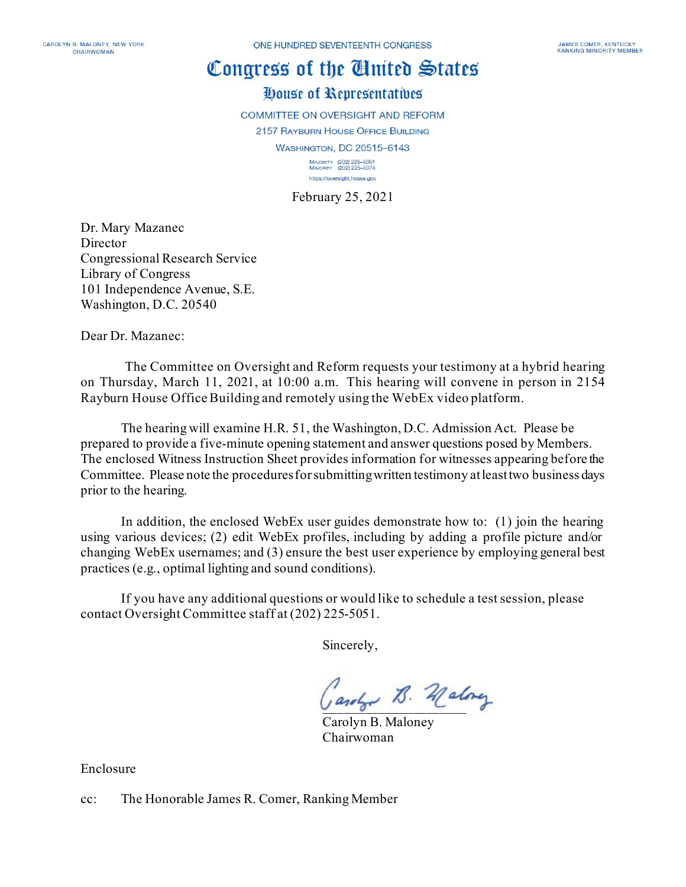# Congress of the Ginited States

### House of Representatives

**COMMITTEE ON OVERSIGHT AND REFORM** 2157 RAYBURN HOUSE OFFICE BUILDING WASHINGTON, DC 20515-6143 MAJORITY (202) 225-5051<br>MINORITY (202) 225-5074 https://oversight.house.gov

February 25, 2021

Dr. Mary Mazanec Director Congressional Research Service Library of Congress 101 Independence Avenue, S.E. Washington, D.C. 20540

Dear Dr. Mazanec:

The Committee on Oversight and Reform requests your testimony at a hybrid hearing on Thursday, March 11, 2021, at 10:00 a.m. This hearing will convene in person in 2154 Rayburn House Office Building and remotely using the WebEx video platform.

The hearing will examine H.R. 51, the Washington, D.C. Admission Act. Please be prepared to provide a five-minute opening statement and answer questions posed by Members. The enclosed Witness Instruction Sheet provides information for witnesses appearing before the Committee. Please note the proceduresfor submitting written testimony at least two business days prior to the hearing.

In addition, the enclosed WebEx user guides demonstrate how to: (1) join the hearing using various devices; (2) edit WebEx profiles, including by adding a profile picture and/or changing WebEx usernames; and (3) ensure the best user experience by employing general best practices (e.g., optimal lighting and sound conditions).

If you have any additional questions or would like to schedule a test session, please contact Oversight Committee staff at (202) 225-5051.

Sincerely,

Gardon B. Malong

Carolyn B. Maloney Chairwoman

Enclosure

cc: The Honorable James R. Comer, Ranking Member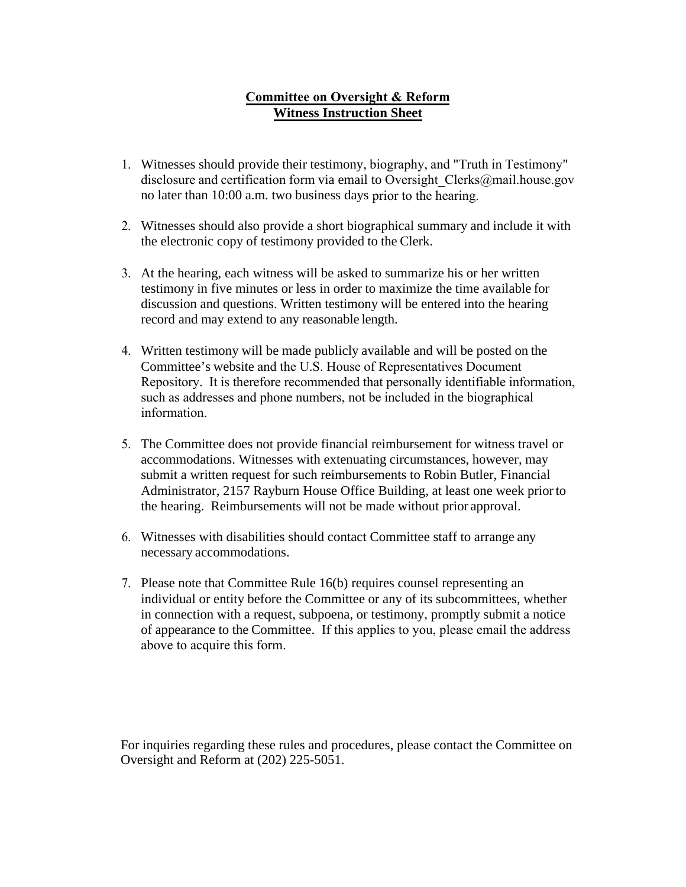#### **Committee on Oversight & Reform Witness Instruction Sheet**

- 1. Witnesses should provide their testimony, biography, and "Truth in Testim[ony"](mailto:at%20Joshua.Zucker@mail.house.gov,) [disclosure and certification form](mailto:at%20Joshua.Zucker@mail.house.gov,) via email to Oversight\_Clerks@mail.house.gov no later than 10:00 a.m. two business days prior to the hearing.
- 2. Witnesses should also provide a short biographical summary and include it with the electronic copy of testimony provided to the Clerk.
- 3. At the hearing, each witness will be asked to summarize his or her written testimony in five minutes or less in order to maximize the time available for discussion and questions. Written testimony will be entered into the hearing record and may extend to any reasonable length.
- 4. Written testimony will be made publicly available and will be posted on the Committee's website and the U.S. House of Representatives Document Repository. It is therefore recommended that personally identifiable information, such as addresses and phone numbers, not be included in the biographical information.
- 5. The Committee does not provide financial reimbursement for witness travel or accommodations. Witnesses with extenuating circumstances, however, may submit a written request for such reimbursements to Robin Butler, Financial Administrator, 2157 Rayburn House Office Building, at least one week prior to the hearing. Reimbursements will not be made without prior approval.
- 6. Witnesses with disabilities should contact Committee staff to arrange any necessary accommodations.
- 7. Please note that Committee Rule 16(b) requires counsel representing an individual or entity before the Committee or any of its subcommittees, whether in connection with a request, subpoena, or testimony, promptly submit a notice of appearance to the Committee. If this applies to you, please email the address above to acquire this form.

For inquiries regarding these rules and procedures, please contact the Committee on Oversight and Reform at (202) 225-5051.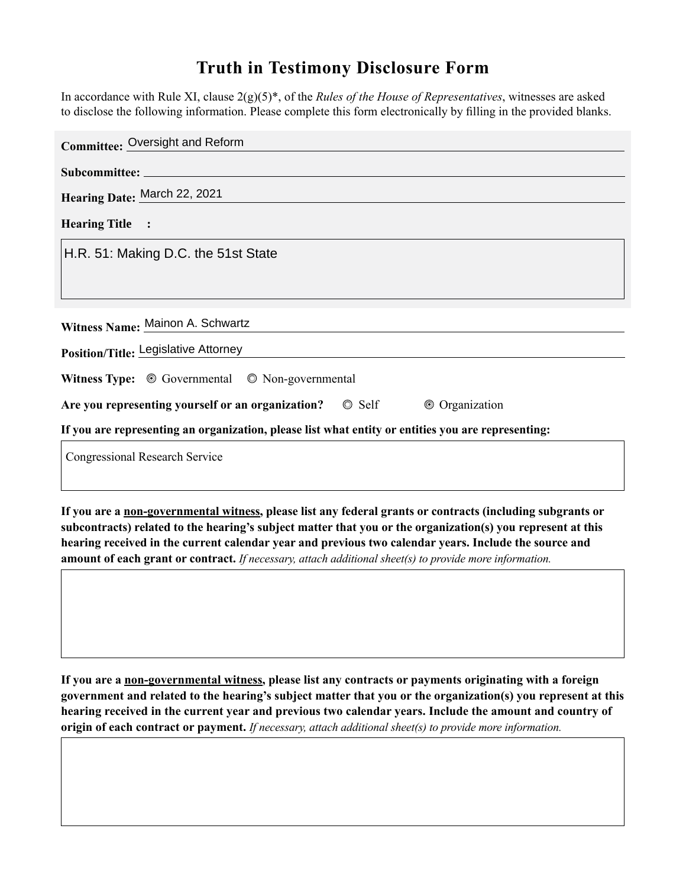## **Truth in Testimony Disclosure Form**

In accordance with Rule XI, clause 2(g)(5)\*, of the *Rules of the House of Representatives*, witnesses are asked to disclose the following information. Please complete this form electronically by filling in the provided blanks.

| <b>Committee: Oversight and Reform</b>                                                             |
|----------------------------------------------------------------------------------------------------|
|                                                                                                    |
| Hearing Date: March 22, 2021                                                                       |
| <b>Hearing Title :</b>                                                                             |
| H.R. 51: Making D.C. the 51st State                                                                |
|                                                                                                    |
|                                                                                                    |
| Witness Name: Mainon A. Schwartz                                                                   |
| Position/Title: Legislative Attorney                                                               |
| Witness Type: $\circledcirc$ Governmental $\circledcirc$ Non-governmental                          |
| Are you representing yourself or an organization? © Self<br>© Organization                         |
| If you are representing an organization, please list what entity or entities you are representing: |
| <b>Congressional Research Service</b>                                                              |

**If you are a non-governmental witness, please list any federal grants or contracts (including subgrants or subcontracts) related to the hearing's subject matter that you or the organization(s) you represent at this hearing received in the current calendar year and previous two calendar years. Include the source and amount of each grant or contract.** *If necessary, attach additional sheet(s) to provide more information.*

**If you are a non-governmental witness, please list any contracts or payments originating with a foreign government and related to the hearing's subject matter that you or the organization(s) you represent at this hearing received in the current year and previous two calendar years. Include the amount and country of origin of each contract or payment.** *If necessary, attach additional sheet(s) to provide more information.*